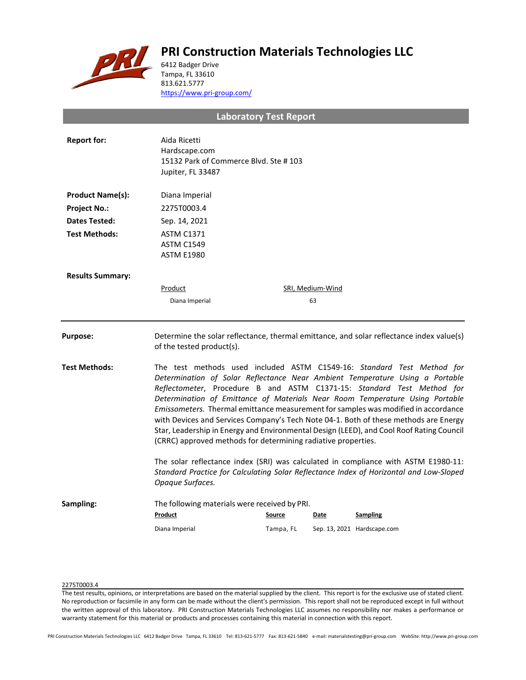# **PRI Construction Materials Technologies LLC**



6412 Badger Drive Tampa, FL 33610 813.621.5777 <https://www.pri-group.com/>

**Laboratory Test Report**

| <b>Report for:</b>      | Aida Ricetti<br>Hardscape.com<br>15132 Park of Commerce Blvd. Ste #103<br>Jupiter, FL 33487                                                                                                                                                                                                                                                                                                                                                                                                                                                                                                                                                                 |           |                  |                             |  |
|-------------------------|-------------------------------------------------------------------------------------------------------------------------------------------------------------------------------------------------------------------------------------------------------------------------------------------------------------------------------------------------------------------------------------------------------------------------------------------------------------------------------------------------------------------------------------------------------------------------------------------------------------------------------------------------------------|-----------|------------------|-----------------------------|--|
| <b>Product Name(s):</b> | Diana Imperial                                                                                                                                                                                                                                                                                                                                                                                                                                                                                                                                                                                                                                              |           |                  |                             |  |
| <b>Project No.:</b>     | 2275T0003.4                                                                                                                                                                                                                                                                                                                                                                                                                                                                                                                                                                                                                                                 |           |                  |                             |  |
| Dates Tested:           | Sep. 14, 2021                                                                                                                                                                                                                                                                                                                                                                                                                                                                                                                                                                                                                                               |           |                  |                             |  |
| <b>Test Methods:</b>    | <b>ASTM C1371</b><br><b>ASTM C1549</b><br><b>ASTM E1980</b>                                                                                                                                                                                                                                                                                                                                                                                                                                                                                                                                                                                                 |           |                  |                             |  |
| <b>Results Summary:</b> |                                                                                                                                                                                                                                                                                                                                                                                                                                                                                                                                                                                                                                                             |           |                  |                             |  |
|                         | Product                                                                                                                                                                                                                                                                                                                                                                                                                                                                                                                                                                                                                                                     |           | SRI, Medium-Wind |                             |  |
|                         | Diana Imperial                                                                                                                                                                                                                                                                                                                                                                                                                                                                                                                                                                                                                                              |           | 63               |                             |  |
| <b>Purpose:</b>         | Determine the solar reflectance, thermal emittance, and solar reflectance index value(s)<br>of the tested product(s).                                                                                                                                                                                                                                                                                                                                                                                                                                                                                                                                       |           |                  |                             |  |
| <b>Test Methods:</b>    | The test methods used included ASTM C1549-16: Standard Test Method for<br>Determination of Solar Reflectance Near Ambient Temperature Using a Portable<br>Reflectometer, Procedure B and ASTM C1371-15: Standard Test Method for<br>Determination of Emittance of Materials Near Room Temperature Using Portable<br>Emissometers. Thermal emittance measurement for samples was modified in accordance<br>with Devices and Services Company's Tech Note 04-1. Both of these methods are Energy<br>Star, Leadership in Energy and Environmental Design (LEED), and Cool Roof Rating Council<br>(CRRC) approved methods for determining radiative properties. |           |                  |                             |  |
|                         | The solar reflectance index (SRI) was calculated in compliance with ASTM E1980-11:<br>Standard Practice for Calculating Solar Reflectance Index of Horizontal and Low-Sloped<br>Opaque Surfaces.                                                                                                                                                                                                                                                                                                                                                                                                                                                            |           |                  |                             |  |
| Sampling:               | The following materials were received by PRI.<br>Product                                                                                                                                                                                                                                                                                                                                                                                                                                                                                                                                                                                                    | Source    | Date             | <b>Sampling</b>             |  |
|                         | Diana Imperial                                                                                                                                                                                                                                                                                                                                                                                                                                                                                                                                                                                                                                              | Tampa, FL |                  | Sep. 13, 2021 Hardscape.com |  |

## 2275T0003.4

The test results, opinions, or interpretations are based on the material supplied by the client. This report is for the exclusive use of stated client. No reproduction or facsimile in any form can be made without the client's permission. This report shall not be reproduced except in full without the written approval of this laboratory. PRI Construction Materials Technologies LLC assumes no responsibility nor makes a performance or warranty statement for this material or products and processes containing this material in connection with this report.

PRI Construction Materials Technologies LLC 6412 Badger Drive Tampa, FL 33610 Tel: 813-621-5777 Fax: 813-621-5840 e-mail: materialstesting@pri-group.com WebSite: http://www.pri-group.com